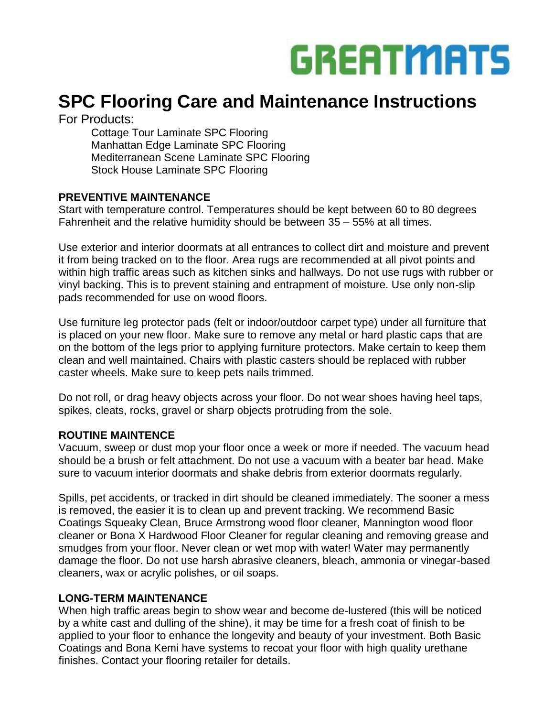

# **SPC Flooring Care and Maintenance Instructions**

For Products:

Cottage Tour Laminate SPC Flooring Manhattan Edge Laminate SPC Flooring Mediterranean Scene Laminate SPC Flooring Stock House Laminate SPC Flooring

#### **PREVENTIVE MAINTENANCE**

Start with temperature control. Temperatures should be kept between 60 to 80 degrees Fahrenheit and the relative humidity should be between 35 – 55% at all times.

Use exterior and interior doormats at all entrances to collect dirt and moisture and prevent it from being tracked on to the floor. Area rugs are recommended at all pivot points and within high traffic areas such as kitchen sinks and hallways. Do not use rugs with rubber or vinyl backing. This is to prevent staining and entrapment of moisture. Use only non-slip pads recommended for use on wood floors.

Use furniture leg protector pads (felt or indoor/outdoor carpet type) under all furniture that is placed on your new floor. Make sure to remove any metal or hard plastic caps that are on the bottom of the legs prior to applying furniture protectors. Make certain to keep them clean and well maintained. Chairs with plastic casters should be replaced with rubber caster wheels. Make sure to keep pets nails trimmed.

Do not roll, or drag heavy objects across your floor. Do not wear shoes having heel taps, spikes, cleats, rocks, gravel or sharp objects protruding from the sole.

# **ROUTINE MAINTENCE**

Vacuum, sweep or dust mop your floor once a week or more if needed. The vacuum head should be a brush or felt attachment. Do not use a vacuum with a beater bar head. Make sure to vacuum interior doormats and shake debris from exterior doormats regularly.

Spills, pet accidents, or tracked in dirt should be cleaned immediately. The sooner a mess is removed, the easier it is to clean up and prevent tracking. We recommend Basic Coatings Squeaky Clean, Bruce Armstrong wood floor cleaner, Mannington wood floor cleaner or Bona X Hardwood Floor Cleaner for regular cleaning and removing grease and smudges from your floor. Never clean or wet mop with water! Water may permanently damage the floor. Do not use harsh abrasive cleaners, bleach, ammonia or vinegar-based cleaners, wax or acrylic polishes, or oil soaps.

# **LONG-TERM MAINTENANCE**

When high traffic areas begin to show wear and become de-lustered (this will be noticed by a white cast and dulling of the shine), it may be time for a fresh coat of finish to be applied to your floor to enhance the longevity and beauty of your investment. Both Basic Coatings and Bona Kemi have systems to recoat your floor with high quality urethane finishes. Contact your flooring retailer for details.